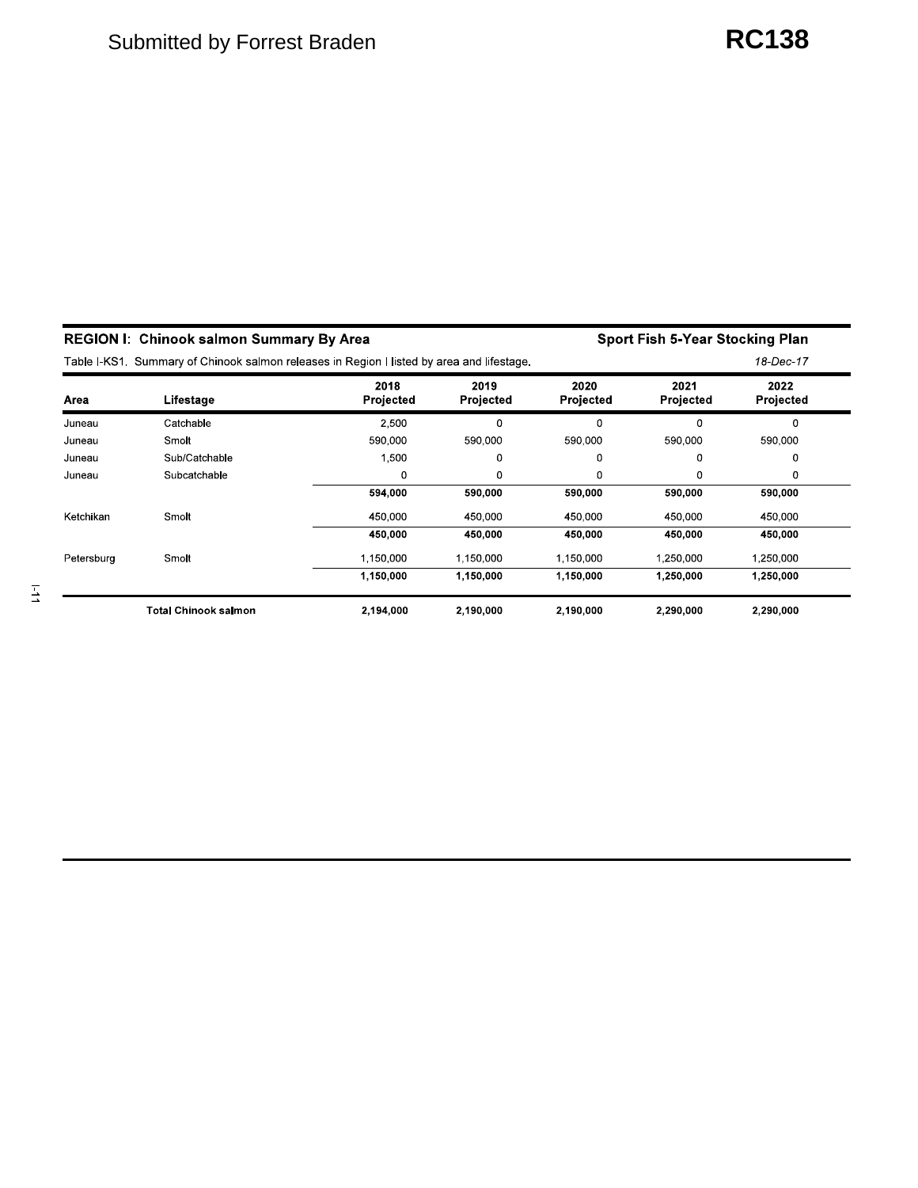|            | <b>REGION I: Chinook salmon Summary By Area</b>                                           |                   |                   | Sport Fish 5-Year Stocking Plan |                   |                   |  |  |
|------------|-------------------------------------------------------------------------------------------|-------------------|-------------------|---------------------------------|-------------------|-------------------|--|--|
|            | Table I-KS1. Summary of Chinook salmon releases in Region I listed by area and lifestage. |                   |                   |                                 |                   | 18-Dec-17         |  |  |
| Area       | Lifestage                                                                                 | 2018<br>Projected | 2019<br>Projected | 2020<br>Projected               | 2021<br>Projected | 2022<br>Projected |  |  |
| Juneau     | Catchable                                                                                 | 2,500             | 0                 | 0                               | 0                 | 0                 |  |  |
| Juneau     | Smolt                                                                                     | 590,000           | 590,000           | 590,000                         | 590,000           | 590,000           |  |  |
| Juneau     | Sub/Catchable                                                                             | 1,500             | 0                 | 0                               | 0                 | 0                 |  |  |
| Juneau     | Subcatchable                                                                              | 0                 | 0                 | 0                               | 0                 | 0                 |  |  |
|            |                                                                                           | 594,000           | 590,000           | 590,000                         | 590,000           | 590,000           |  |  |
| Ketchikan  | Smolt                                                                                     | 450.000           | 450,000           | 450,000                         | 450,000           | 450,000           |  |  |
|            |                                                                                           | 450,000           | 450,000           | 450,000                         | 450,000           | 450,000           |  |  |
| Petersburg | Smolt                                                                                     | 1,150,000         | 1,150,000         | 1,150,000                       | 1,250,000         | 1,250,000         |  |  |
|            |                                                                                           | 1,150,000         | 1,150,000         | 1,150,000                       | 1.250,000         | 1,250,000         |  |  |
|            | <b>Total Chinook salmon</b>                                                               | 2,194,000         | 2.190.000         | 2.190.000                       | 2,290,000         | 2,290,000         |  |  |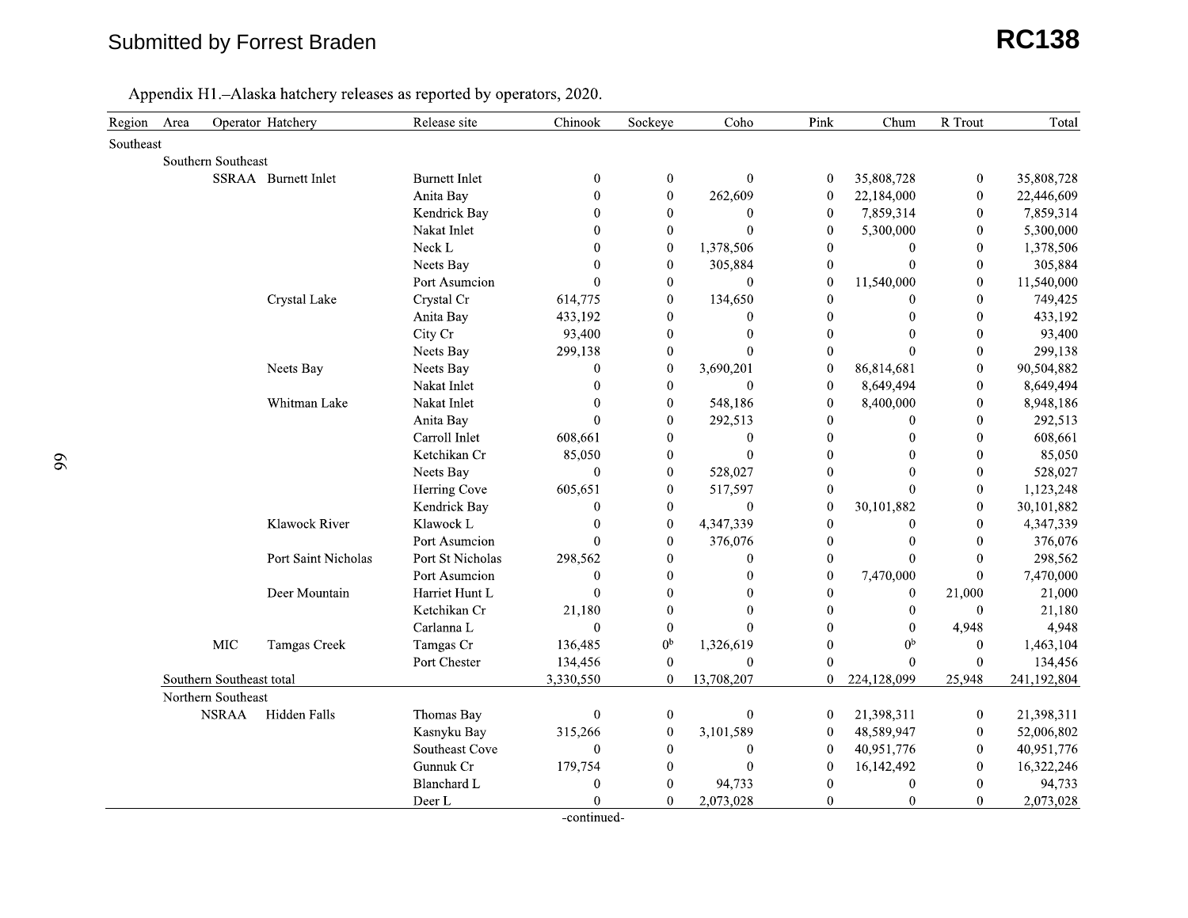#### Submitted by Forrest Braden

# n **RC138**

| Region<br>Area           |              | Operator Hatchery   | Release site         | Chinook          | Sockeye          | Coho             | Pink             | Chum             | R Trout          | Total       |
|--------------------------|--------------|---------------------|----------------------|------------------|------------------|------------------|------------------|------------------|------------------|-------------|
| Southeast                |              |                     |                      |                  |                  |                  |                  |                  |                  |             |
| Southern Southeast       |              |                     |                      |                  |                  |                  |                  |                  |                  |             |
|                          |              | SSRAA Burnett Inlet | <b>Burnett Inlet</b> | $\boldsymbol{0}$ | $\boldsymbol{0}$ | $\boldsymbol{0}$ | $\bf{0}$         | 35,808,728       | $\boldsymbol{0}$ | 35,808,728  |
|                          |              |                     | Anita Bay            | $\mathbf{0}$     | $\boldsymbol{0}$ | 262,609          | $\boldsymbol{0}$ | 22,184,000       | $\bf{0}$         | 22,446,609  |
|                          |              |                     | Kendrick Bay         | $\overline{0}$   | $\mathbf{0}$     | $\theta$         | $\mathbf{0}$     | 7,859,314        | $\mathbf{0}$     | 7,859,314   |
|                          |              |                     | Nakat Inlet          | $\Omega$         | $\theta$         | $\Omega$         | $\mathbf{0}$     | 5,300,000        | $\Omega$         | 5,300,000   |
|                          |              |                     | Neck L               | 0                | $\boldsymbol{0}$ | 1,378,506        | $\boldsymbol{0}$ | $\bf{0}$         | $\mathbf{0}$     | 1,378,506   |
|                          |              |                     | Neets Bay            | $\theta$         | $\boldsymbol{0}$ | 305,884          | $\boldsymbol{0}$ | $\mathbf{0}$     | $\boldsymbol{0}$ | 305,884     |
|                          |              |                     | Port Asumcion        | $\theta$         | $\boldsymbol{0}$ | $\theta$         | $\boldsymbol{0}$ | 11,540,000       | $\boldsymbol{0}$ | 11,540,000  |
|                          |              | Crystal Lake        | Crystal Cr           | 614,775          | $\mathbf{0}$     | 134,650          | $\mathbf{0}$     | $\mathbf{0}$     | $\theta$         | 749,425     |
|                          |              |                     | Anita Bay            | 433,192          | $\mathbf{0}$     | $\theta$         | $\mathbf{0}$     | $\theta$         | $\theta$         | 433,192     |
|                          |              |                     | City Cr              | 93,400           | $\mathbf{0}$     | $\mathbf{0}$     | $\boldsymbol{0}$ | $\mathbf{0}$     | $\boldsymbol{0}$ | 93,400      |
|                          |              |                     | Neets Bay            | 299,138          | $\bf{0}$         | $\theta$         | $\boldsymbol{0}$ | $\theta$         | $\mathbf{0}$     | 299,138     |
|                          |              | Neets Bay           | Neets Bay            | $\boldsymbol{0}$ | $\boldsymbol{0}$ | 3,690,201        | $\mathbf{0}$     | 86,814,681       | $\mathbf{0}$     | 90,504,882  |
|                          |              |                     | Nakat Inlet          | $\theta$         | $\mathbf{0}$     | $\mathbf{0}$     | $\mathbf{0}$     | 8,649,494        | $\theta$         | 8,649,494   |
|                          |              | Whitman Lake        | Nakat Inlet          | $\Omega$         | $\mathbf{0}$     | 548,186          | $\Omega$         | 8,400,000        | $\theta$         | 8,948,186   |
|                          |              |                     | Anita Bay            | $\theta$         | $\boldsymbol{0}$ | 292,513          | $\boldsymbol{0}$ | $\bf{0}$         | $\boldsymbol{0}$ | 292,513     |
|                          |              |                     | Carroll Inlet        | 608,661          | $\boldsymbol{0}$ | $\boldsymbol{0}$ | $\boldsymbol{0}$ | $\bf{0}$         | $\boldsymbol{0}$ | 608,661     |
|                          |              |                     | Ketchikan Cr         | 85,050           | $\mathbf{0}$     | $\overline{0}$   | $\overline{0}$   | $\overline{0}$   | $\mathbf{0}$     | 85,050      |
|                          |              |                     | Neets Bay            | $\theta$         | $\mathbf{0}$     | 528,027          | $\overline{0}$   | $\Omega$         | $\theta$         | 528,027     |
|                          |              |                     | Herring Cove         | 605,651          | $\theta$         | 517,597          | $\bf{0}$         | $\Omega$         | $\mathbf{0}$     | 1,123,248   |
|                          |              |                     | Kendrick Bay         | $\boldsymbol{0}$ | $\mathbf{0}$     | $\overline{0}$   | $\bf{0}$         | 30,101,882       | $\boldsymbol{0}$ | 30,101,882  |
|                          |              | Klawock River       | Klawock L            | $\mathbf{0}$     | $\boldsymbol{0}$ | 4,347,339        | $\boldsymbol{0}$ | $\bf{0}$         | $\theta$         | 4,347,339   |
|                          |              |                     | Port Asumcion        | $\theta$         | $\mathbf{0}$     | 376,076          | $\mathbf{0}$     | $\mathbf{0}$     | $\Omega$         | 376,076     |
|                          |              | Port Saint Nicholas | Port St Nicholas     | 298,562          | $\theta$         | $\theta$         | $\mathbf{0}$     | $\mathbf{0}$     | $\Omega$         | 298,562     |
|                          |              |                     | Port Asumcion        | $\boldsymbol{0}$ | $\theta$         | $\theta$         | $\boldsymbol{0}$ | 7,470,000        | $\theta$         | 7,470,000   |
|                          |              | Deer Mountain       | Harriet Hunt L       | $\theta$         | $\boldsymbol{0}$ | $\mathbf{0}$     | 0                | $\boldsymbol{0}$ | 21,000           | 21,000      |
|                          |              |                     | Ketchikan Cr         | 21,180           | $\boldsymbol{0}$ | $\theta$         | 0                | $\mathbf{0}$     | $\bf{0}$         | 21,180      |
|                          |              |                     | Carlanna L           | $\mathbf{0}$     | $\mathbf{0}$     | $\theta$         | $\Omega$         | $\mathbf{0}$     | 4,948            | 4,948       |
|                          | $\rm MIC$    | Tamgas Creek        | Tamgas Cr            | 136,485          | 0 <sup>b</sup>   | 1,326,619        | $\mathbf{0}$     | 0 <sub>p</sub>   | $\mathbf{0}$     | 1,463,104   |
|                          |              |                     | Port Chester         | 134,456          | $\boldsymbol{0}$ | $\mathbf{0}$     | 0                | $\mathbf{0}$     | $\boldsymbol{0}$ | 134,456     |
| Southern Southeast total |              |                     |                      | 3,330,550        | $\mathbf{0}$     | 13,708,207       | $\mathbf{0}$     | 224,128,099      | 25,948           | 241,192,804 |
| Northern Southeast       |              |                     |                      |                  |                  |                  |                  |                  |                  |             |
|                          | <b>NSRAA</b> | Hidden Falls        | Thomas Bay           | $\mathbf{0}$     | $\bf{0}$         | $\boldsymbol{0}$ | $\mathbf{0}$     | 21,398,311       | $\mathbf{0}$     | 21,398,311  |
|                          |              |                     | Kasnyku Bay          | 315,266          | $\boldsymbol{0}$ | 3,101,589        | $\bf{0}$         | 48,589,947       | $\boldsymbol{0}$ | 52,006,802  |
|                          |              |                     | Southeast Cove       | $\boldsymbol{0}$ | $\boldsymbol{0}$ | $\boldsymbol{0}$ | $\boldsymbol{0}$ | 40,951,776       | $\boldsymbol{0}$ | 40,951,776  |
|                          |              |                     | Gunnuk Cr            | 179,754          | $\mathbf{0}$     | $\theta$         | $\boldsymbol{0}$ | 16,142,492       | $\boldsymbol{0}$ | 16,322,246  |
|                          |              |                     | Blanchard L          | $\boldsymbol{0}$ | $\mathbf{0}$     | 94,733           | $\mathbf{0}$     | $\mathbf{0}$     | $\mathbf{0}$     | 94,733      |
|                          |              |                     | Deer L               | $\theta$         | $\overline{0}$   | 2,073,028        | $\Omega$         | $\theta$         | $\theta$         | 2,073,028   |

-continued-